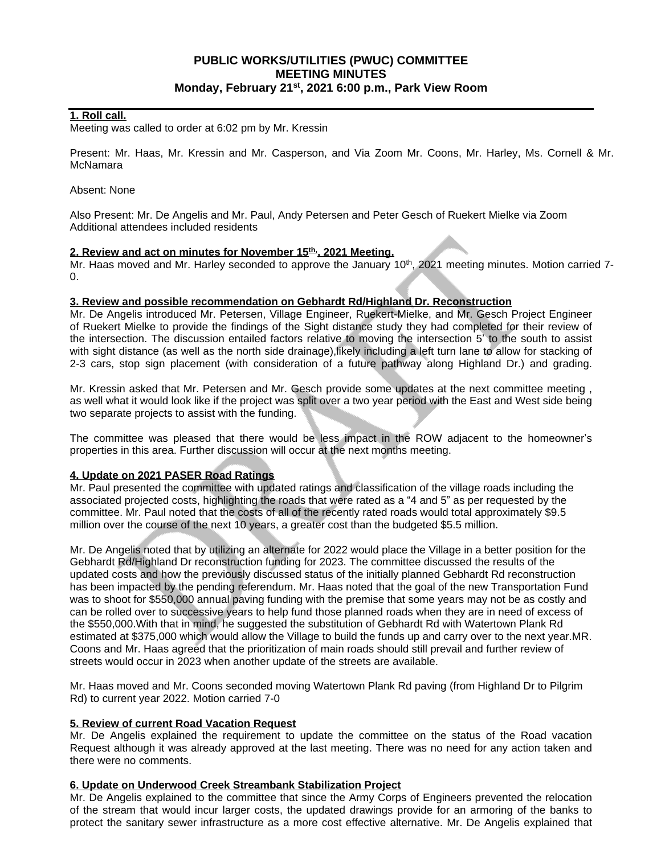# **PUBLIC WORKS/UTILITIES (PWUC) COMMITTEE MEETING MINUTES Monday, February 21st , 2021 6:00 p.m., Park View Room**

### **1. Roll call.**

Meeting was called to order at 6:02 pm by Mr. Kressin

Present: Mr. Haas, Mr. Kressin and Mr. Casperson, and Via Zoom Mr. Coons, Mr. Harley, Ms. Cornell & Mr. **McNamara** 

#### Absent: None

Also Present: Mr. De Angelis and Mr. Paul, Andy Petersen and Peter Gesch of Ruekert Mielke via Zoom Additional attendees included residents

### **2. Review and act on minutes for November 15th,, 2021 Meeting.**

Mr. Haas moved and Mr. Harley seconded to approve the January 10<sup>th</sup>, 2021 meeting minutes. Motion carried 7- $\Omega$ .

#### **3. Review and possible recommendation on Gebhardt Rd/Highland Dr. Reconstruction**

Mr. De Angelis introduced Mr. Petersen, Village Engineer, Ruekert-Mielke, and Mr. Gesch Project Engineer of Ruekert Mielke to provide the findings of the Sight distance study they had completed for their review of the intersection. The discussion entailed factors relative to moving the intersection 5' to the south to assist with sight distance (as well as the north side drainage),likely including a left turn lane to allow for stacking of 2-3 cars, stop sign placement (with consideration of a future pathway along Highland Dr.) and grading.

Mr. Kressin asked that Mr. Petersen and Mr. Gesch provide some updates at the next committee meeting , as well what it would look like if the project was split over a two year period with the East and West side being two separate projects to assist with the funding.

The committee was pleased that there would be less impact in the ROW adjacent to the homeowner's properties in this area. Further discussion will occur at the next months meeting.

### **4. Update on 2021 PASER Road Ratings**

Mr. Paul presented the committee with updated ratings and classification of the village roads including the associated projected costs, highlighting the roads that were rated as a "4 and 5" as per requested by the committee. Mr. Paul noted that the costs of all of the recently rated roads would total approximately \$9.5 million over the course of the next 10 years, a greater cost than the budgeted \$5.5 million.

Mr. De Angelis noted that by utilizing an alternate for 2022 would place the Village in a better position for the Gebhardt Rd/Highland Dr reconstruction funding for 2023. The committee discussed the results of the updated costs and how the previously discussed status of the initially planned Gebhardt Rd reconstruction has been impacted by the pending referendum. Mr. Haas noted that the goal of the new Transportation Fund was to shoot for \$550,000 annual paving funding with the premise that some years may not be as costly and can be rolled over to successive years to help fund those planned roads when they are in need of excess of the \$550,000.With that in mind, he suggested the substitution of Gebhardt Rd with Watertown Plank Rd estimated at \$375,000 which would allow the Village to build the funds up and carry over to the next year.MR. Coons and Mr. Haas agreed that the prioritization of main roads should still prevail and further review of streets would occur in 2023 when another update of the streets are available.

Mr. Haas moved and Mr. Coons seconded moving Watertown Plank Rd paving (from Highland Dr to Pilgrim Rd) to current year 2022. Motion carried 7-0

### **5. Review of current Road Vacation Request**

Mr. De Angelis explained the requirement to update the committee on the status of the Road vacation Request although it was already approved at the last meeting. There was no need for any action taken and there were no comments.

### **6. Update on Underwood Creek Streambank Stabilization Project**

Mr. De Angelis explained to the committee that since the Army Corps of Engineers prevented the relocation of the stream that would incur larger costs, the updated drawings provide for an armoring of the banks to protect the sanitary sewer infrastructure as a more cost effective alternative. Mr. De Angelis explained that